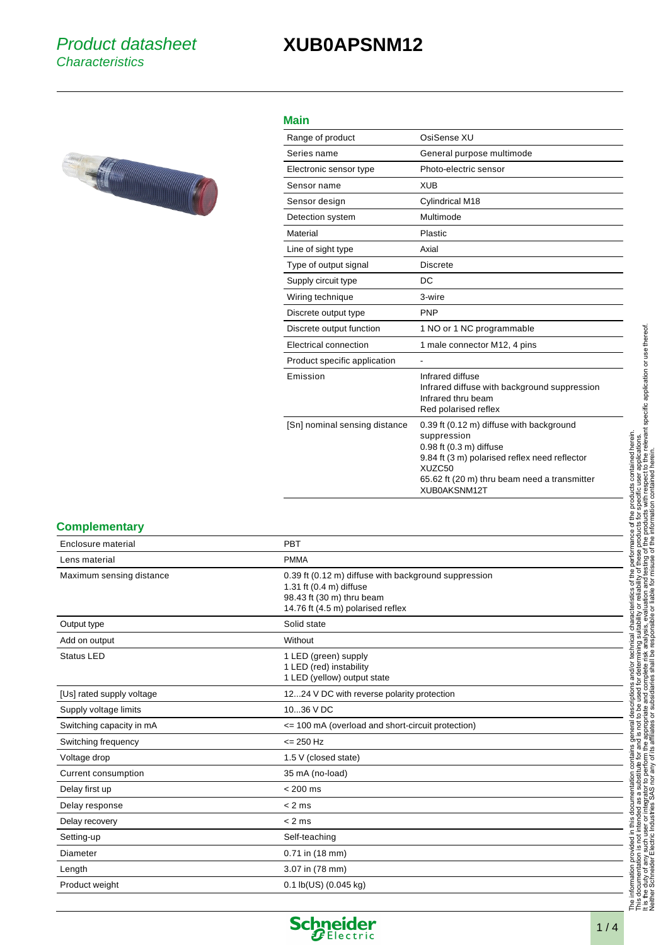## **XUB0APSNM12**



## **Main**

| Range of product              | OsiSense XII                                                                                                                                                                                                  |
|-------------------------------|---------------------------------------------------------------------------------------------------------------------------------------------------------------------------------------------------------------|
| Series name                   | General purpose multimode                                                                                                                                                                                     |
| Electronic sensor type        | Photo-electric sensor                                                                                                                                                                                         |
| Sensor name                   | <b>XUB</b>                                                                                                                                                                                                    |
| Sensor design                 | Cylindrical M18                                                                                                                                                                                               |
| Detection system              | Multimode                                                                                                                                                                                                     |
| Material                      | Plastic                                                                                                                                                                                                       |
| Line of sight type            | Axial                                                                                                                                                                                                         |
| Type of output signal         | <b>Discrete</b>                                                                                                                                                                                               |
| Supply circuit type           | DC                                                                                                                                                                                                            |
| Wiring technique              | 3-wire                                                                                                                                                                                                        |
| Discrete output type          | <b>PNP</b>                                                                                                                                                                                                    |
| Discrete output function      | 1 NO or 1 NC programmable                                                                                                                                                                                     |
| Electrical connection         | 1 male connector M12, 4 pins                                                                                                                                                                                  |
| Product specific application  | $\overline{\phantom{m}}$                                                                                                                                                                                      |
| Emission                      | Infrared diffuse<br>Infrared diffuse with background suppression<br>Infrared thru beam<br>Red polarised reflex                                                                                                |
| [Sn] nominal sensing distance | 0.39 ft (0.12 m) diffuse with background<br>suppression<br>0.98 ft (0.3 m) diffuse<br>9.84 ft (3 m) polarised reflex need reflector<br>XUZC50<br>65.62 ft (20 m) thru beam need a transmitter<br>XUB0AKSNM12T |
|                               |                                                                                                                                                                                                               |

## **Complementary**

| Enclosure material        | PBT                                                                                                                                               |
|---------------------------|---------------------------------------------------------------------------------------------------------------------------------------------------|
| Lens material             | <b>PMMA</b>                                                                                                                                       |
| Maximum sensing distance  | 0.39 ft (0.12 m) diffuse with background suppression<br>1.31 ft (0.4 m) diffuse<br>98.43 ft (30 m) thru beam<br>14.76 ft (4.5 m) polarised reflex |
| Output type               | Solid state                                                                                                                                       |
| Add on output             | Without                                                                                                                                           |
| <b>Status LED</b>         | 1 LED (green) supply<br>1 LED (red) instability<br>1 LED (yellow) output state                                                                    |
| [Us] rated supply voltage | 1224 V DC with reverse polarity protection                                                                                                        |
| Supply voltage limits     | 1036 V DC                                                                                                                                         |
| Switching capacity in mA  | <= 100 mA (overload and short-circuit protection)                                                                                                 |
| Switching frequency       | $= 250$ Hz                                                                                                                                        |
| Voltage drop              | 1.5 V (closed state)                                                                                                                              |
| Current consumption       | 35 mA (no-load)                                                                                                                                   |
| Delay first up            | $< 200$ ms                                                                                                                                        |
| Delay response            | $< 2$ ms                                                                                                                                          |
| Delay recovery            | $< 2$ ms                                                                                                                                          |
| Setting-up                | Self-teaching                                                                                                                                     |
| Diameter                  | $0.71$ in $(18$ mm)                                                                                                                               |
| Length                    | 3.07 in (78 mm)                                                                                                                                   |
| Product weight            | $0.1$ lb(US) (0.045 kg)                                                                                                                           |

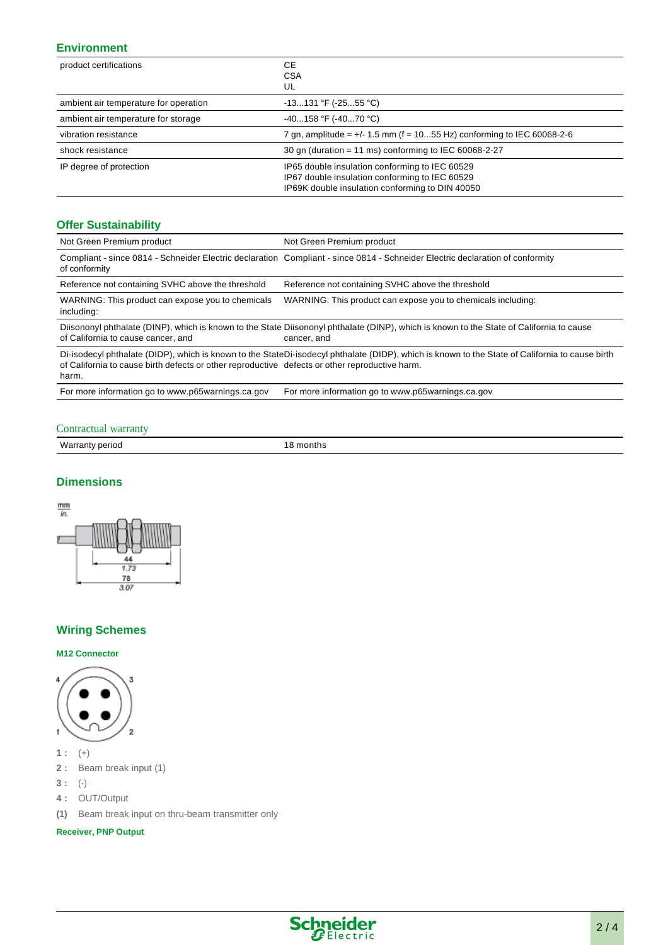## **Environment**

| product certifications                | <b>CE</b><br><b>CSA</b><br>UL                                                                                                                       |
|---------------------------------------|-----------------------------------------------------------------------------------------------------------------------------------------------------|
| ambient air temperature for operation | $-13131$ °F ( $-2555$ °C)                                                                                                                           |
| ambient air temperature for storage   | $-40158$ °F ( $-4070$ °C)                                                                                                                           |
| vibration resistance                  | 7 gn, amplitude = $+/$ 1.5 mm (f = 1055 Hz) conforming to IEC 60068-2-6                                                                             |
| shock resistance                      | 30 gn (duration = 11 ms) conforming to IEC 60068-2-27                                                                                               |
| IP degree of protection               | IP65 double insulation conforming to IEC 60529<br>IP67 double insulation conforming to IEC 60529<br>IP69K double insulation conforming to DIN 40050 |

## **Offer Sustainability**

| Not Green Premium product                                                                                                                                                                                                                                  | Not Green Premium product                                                                                                     |  |
|------------------------------------------------------------------------------------------------------------------------------------------------------------------------------------------------------------------------------------------------------------|-------------------------------------------------------------------------------------------------------------------------------|--|
| of conformity                                                                                                                                                                                                                                              | Compliant - since 0814 - Schneider Electric declaration Compliant - since 0814 - Schneider Electric declaration of conformity |  |
| Reference not containing SVHC above the threshold                                                                                                                                                                                                          | Reference not containing SVHC above the threshold                                                                             |  |
| WARNING: This product can expose you to chemicals<br>including:                                                                                                                                                                                            | WARNING: This product can expose you to chemicals including:                                                                  |  |
| Diisononyl phthalate (DINP), which is known to the State Diisononyl phthalate (DINP), which is known to the State of California to cause<br>of California to cause cancer, and<br>cancer, and                                                              |                                                                                                                               |  |
| Di-isodecyl phthalate (DIDP), which is known to the StateDi-isodecyl phthalate (DIDP), which is known to the State of California to cause birth<br>of California to cause birth defects or other reproductive defects or other reproductive harm.<br>harm. |                                                                                                                               |  |

#### For more information go to www.p65warnings.ca.gov For more information go to www.p65warnings.ca.gov

Contractual warranty Warranty period 18 months

## **Dimensions**



## **Wiring Schemes**

#### **M12 Connector**



**1 :** (+)

- **2 :** Beam break input (1)
- **3 :** (-)
- **4 :** OUT/Output
- **(1)** Beam break input on thru-beam transmitter only

**Receiver, PNP Output**

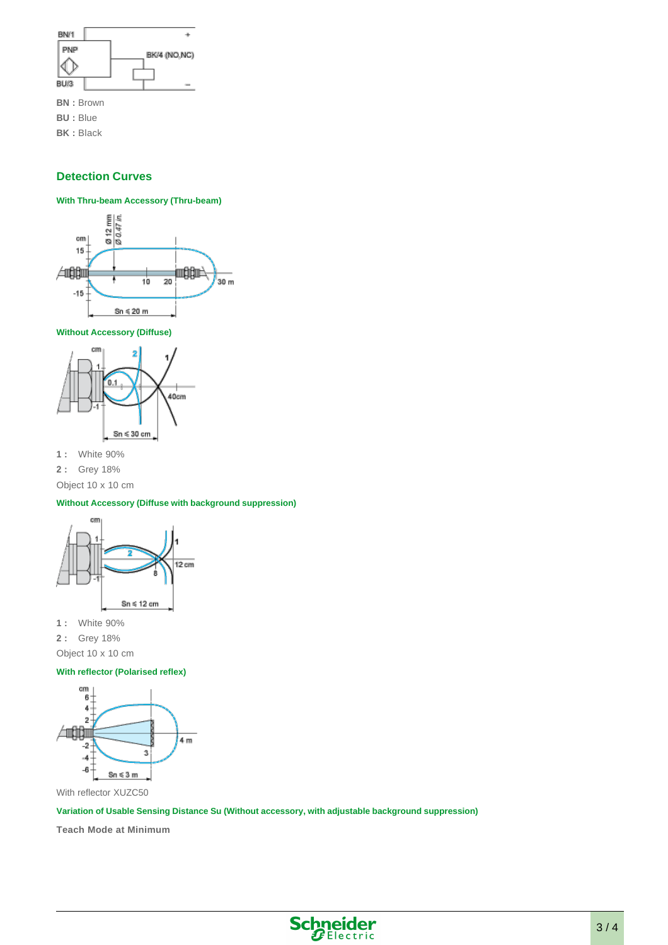

**BK :** Black

## **Detection Curves**

#### **With Thru-beam Accessory (Thru-beam)**



**Without Accessory (Diffuse)**



**1 :** White 90%

**2 :** Grey 18%

Object 10 x 10 cm

#### **Without Accessory (Diffuse with background suppression)**



**1 :** White 90%

**2 :** Grey 18%

Object 10 x 10 cm

#### **With reflector (Polarised reflex)**



With reflector XUZC50

**Variation of Usable Sensing Distance Su (Without accessory, with adjustable background suppression)**

**Teach Mode at Minimum**

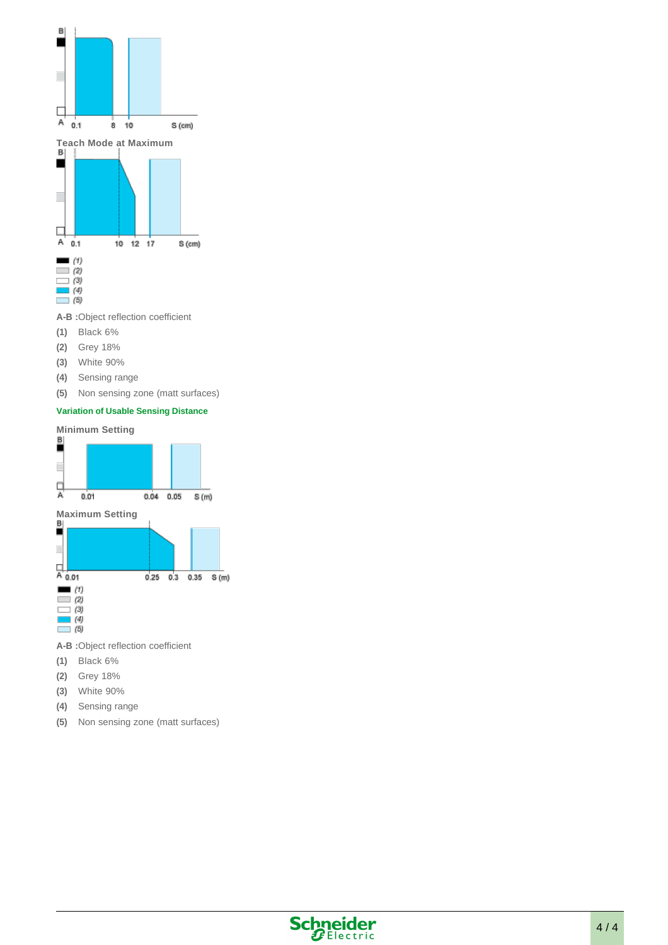

**A-B :**Object reflection coefficient

- **(1)** Black 6%
- **(2)** Grey 18%
- **(3)** White 90%
- **(4)** Sensing range
- **(5)** Non sensing zone (matt surfaces)

## **Variation of Usable Sensing Distance**



- **A-B :**Object reflection coefficient
- **(1)** Black 6%
- **(2)** Grey 18%
- **(3)** White 90%
- **(4)** Sensing range
- **(5)** Non sensing zone (matt surfaces)